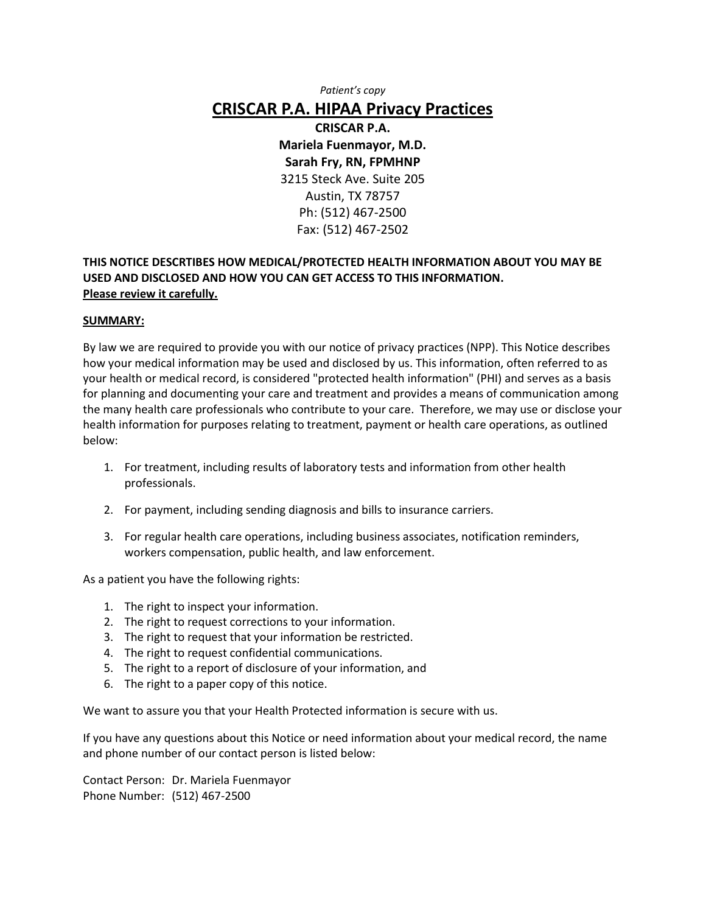*Patient's copy*

### **CRISCAR P.A. HIPAA Privacy Practices**

**CRISCAR P.A. Mariela Fuenmayor, M.D. Sarah Fry, RN, FPMHNP** 3215 Steck Ave. Suite 205 Austin, TX 78757 Ph: (512) 467-2500 Fax: (512) 467-2502

#### **THIS NOTICE DESCRTIBES HOW MEDICAL/PROTECTED HEALTH INFORMATION ABOUT YOU MAY BE USED AND DISCLOSED AND HOW YOU CAN GET ACCESS TO THIS INFORMATION. Please review it carefully.**

#### **SUMMARY:**

By law we are required to provide you with our notice of privacy practices (NPP). This Notice describes how your medical information may be used and disclosed by us. This information, often referred to as your health or medical record, is considered "protected health information" (PHI) and serves as a basis for planning and documenting your care and treatment and provides a means of communication among the many health care professionals who contribute to your care. Therefore, we may use or disclose your health information for purposes relating to treatment, payment or health care operations, as outlined below:

- 1. For treatment, including results of laboratory tests and information from other health professionals.
- 2. For payment, including sending diagnosis and bills to insurance carriers.
- 3. For regular health care operations, including business associates, notification reminders, workers compensation, public health, and law enforcement.

As a patient you have the following rights:

- 1. The right to inspect your information.
- 2. The right to request corrections to your information.
- 3. The right to request that your information be restricted.
- 4. The right to request confidential communications.
- 5. The right to a report of disclosure of your information, and
- 6. The right to a paper copy of this notice.

We want to assure you that your Health Protected information is secure with us.

If you have any questions about this Notice or need information about your medical record, the name and phone number of our contact person is listed below:

Contact Person: Dr. Mariela Fuenmayor Phone Number: (512) 467-2500